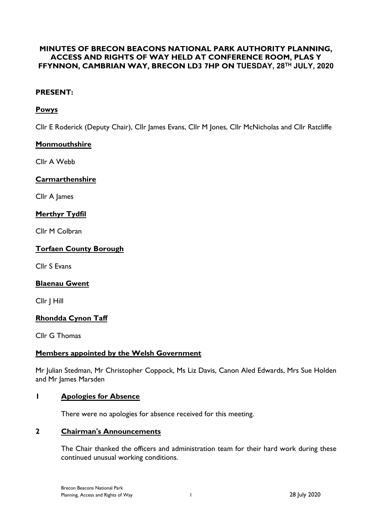## **MINUTES OF BRECON BEACONS NATIONAL PARK AUTHORITY PLANNING, ACCESS AND RIGHTS OF WAY HELD AT CONFERENCE ROOM, PLAS Y FFYNNON, CAMBRIAN WAY, BRECON LD3 7HP ON TUESDAY, 28TH JULY, 2020**

## **PRESENT:**

# **Powys**

Cllr E Roderick (Deputy Chair), Cllr James Evans, Cllr M Jones, Cllr McNicholas and Cllr Ratcliffe

## **Monmouthshire**

Cllr A Webb

#### **Carmarthenshire**

Cllr A James

## **Merthyr Tydfil**

Cllr M Colbran

#### **Torfaen County Borough**

Cllr S Evans

#### **Blaenau Gwent**

Cllr J Hill

## **Rhondda Cynon Taff**

Cllr G Thomas

#### **Members appointed by the Welsh Government**

Mr Julian Stedman, Mr Christopher Coppock, Ms Liz Davis, Canon Aled Edwards, Mrs Sue Holden and Mr James Marsden

#### **1 Apologies for Absence**

There were no apologies for absence received for this meeting.

#### **2 Chairman's Announcements**

The Chair thanked the officers and administration team for their hard work during these continued unusual working conditions.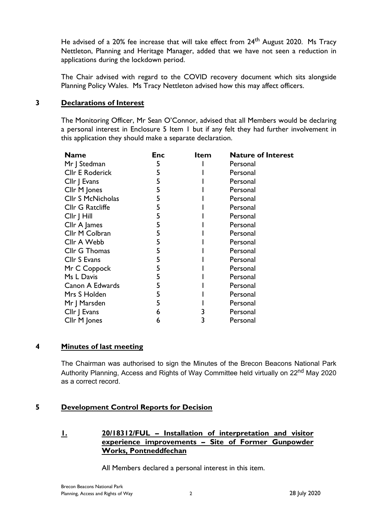He advised of a 20% fee increase that will take effect from 24<sup>th</sup> August 2020. Ms Tracy Nettleton, Planning and Heritage Manager, added that we have not seen a reduction in applications during the lockdown period.

The Chair advised with regard to the COVID recovery document which sits alongside Planning Policy Wales. Ms Tracy Nettleton advised how this may affect officers.

#### **3 Declarations of Interest**

The Monitoring Officer, Mr Sean O'Connor, advised that all Members would be declaring a personal interest in Enclosure 5 Item 1 but if any felt they had further involvement in this application they should make a separate declaration.

| <b>Name</b>              | <b>Enc</b> | <b>Item</b> | <b>Nature of Interest</b> |
|--------------------------|------------|-------------|---------------------------|
| Mr J Stedman             | 5          |             | Personal                  |
| <b>CIIr E Roderick</b>   | 5          |             | Personal                  |
| Cllr J Evans             | 5          |             | Personal                  |
| Cllr M Jones             | 5          |             | Personal                  |
| <b>CIIr S McNicholas</b> | 5          |             | Personal                  |
| Cllr G Ratcliffe         | 5          |             | Personal                  |
| Cllr J Hill              | 5          |             | Personal                  |
| Cllr A James             | 5          |             | Personal                  |
| Cllr M Colbran           | 5          |             | Personal                  |
| Cllr A Webb              | 5          |             | Personal                  |
| Cllr G Thomas            | 5          |             | Personal                  |
| Cllr S Evans             | 5          |             | Personal                  |
| Mr C Coppock             | 5          |             | Personal                  |
| Ms L Davis               | 5          |             | Personal                  |
| Canon A Edwards          | 5          |             | Personal                  |
| Mrs S Holden             | 5          |             | Personal                  |
| Mr J Marsden             | 5          |             | Personal                  |
| Cllr   Evans             | 6          |             | Personal                  |
| Cllr M Jones             | 6          |             | Personal                  |

## **4 Minutes of last meeting**

The Chairman was authorised to sign the Minutes of the Brecon Beacons National Park Authority Planning, Access and Rights of Way Committee held virtually on 22<sup>nd</sup> May 2020 as a correct record.

## **5 Development Control Reports for Decision**

## **1. 20/18312/FUL – Installation of interpretation and visitor experience improvements – Site of Former Gunpowder Works, Pontneddfechan**

All Members declared a personal interest in this item.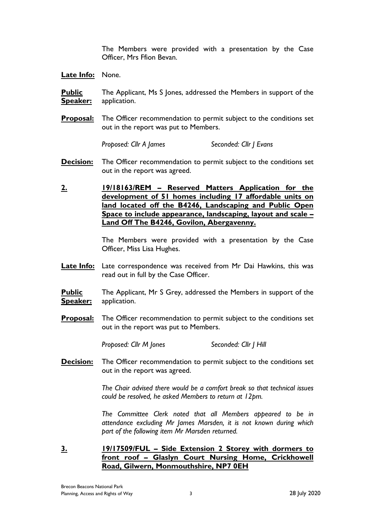The Members were provided with a presentation by the Case Officer, Mrs Ffion Bevan.

**Late Info:** None.

**Public Speaker:** The Applicant, Ms S Jones, addressed the Members in support of the application.

**Proposal:** The Officer recommendation to permit subject to the conditions set out in the report was put to Members.

*Proposed: Cllr A James Seconded: Cllr J Evans*

- **Decision:** The Officer recommendation to permit subject to the conditions set out in the report was agreed.
- **2. 19/18163/REM – Reserved Matters Application for the development of 51 homes including 17 affordable units on land located off the B4246, Landscaping and Public Open Space to include appearance, landscaping, layout and scale – Land Off The B4246, Govilon, Abergavenny.**

The Members were provided with a presentation by the Case Officer, Miss Lisa Hughes.

- **Late Info:** Late correspondence was received from Mr Dai Hawkins, this was read out in full by the Case Officer.
- **Public Speaker:** The Applicant, Mr S Grey, addressed the Members in support of the application.
- **Proposal:** The Officer recommendation to permit subject to the conditions set out in the report was put to Members.

*Proposed: Cllr M Jones Seconded: Cllr J Hill*

**Decision:** The Officer recommendation to permit subject to the conditions set out in the report was agreed.

> *The Chair advised there would be a comfort break so that technical issues could be resolved, he asked Members to return at 12pm.*

> *The Committee Clerk noted that all Members appeared to be in attendance excluding Mr James Marsden, it is not known during which part of the following item Mr Marsden returned.*

**3. 19/17509/FUL – Side Extension 2 Storey with dormers to front roof – Glaslyn Court Nursing Home, Crickhowell Road, Gilwern, Monmouthshire, NP7 0EH**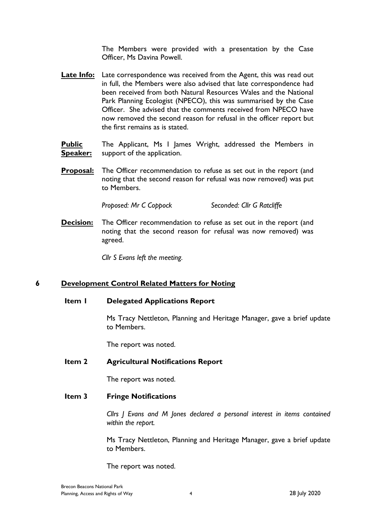The Members were provided with a presentation by the Case Officer, Ms Davina Powell.

- **Late Info:** Late correspondence was received from the Agent, this was read out in full, the Members were also advised that late correspondence had been received from both Natural Resources Wales and the National Park Planning Ecologist (NPECO), this was summarised by the Case Officer. She advised that the comments received from NPECO have now removed the second reason for refusal in the officer report but the first remains as is stated.
- **Public Speaker:** The Applicant, Ms I James Wright, addressed the Members in support of the application.
- **Proposal:** The Officer recommendation to refuse as set out in the report (and noting that the second reason for refusal was now removed) was put to Members.

*Proposed: Mr C Coppock Seconded: Cllr G Ratcliffe*

**Decision:** The Officer recommendation to refuse as set out in the report (and noting that the second reason for refusal was now removed) was agreed.

*Cllr S Evans left the meeting.*

## **6 Development Control Related Matters for Noting**

#### **Item 1 Delegated Applications Report**

Ms Tracy Nettleton, Planning and Heritage Manager, gave a brief update to Members.

The report was noted.

#### **Item 2 Agricultural Notifications Report**

The report was noted.

#### **Item 3 Fringe Notifications**

*Cllrs J Evans and M Jones declared a personal interest in items contained within the report.*

Ms Tracy Nettleton, Planning and Heritage Manager, gave a brief update to Members.

The report was noted.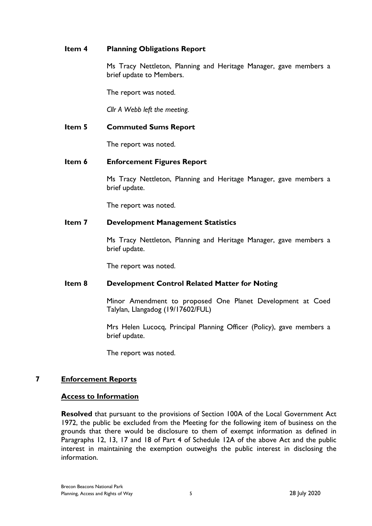## **Item 4 Planning Obligations Report**

Ms Tracy Nettleton, Planning and Heritage Manager, gave members a brief update to Members.

The report was noted.

*Cllr A Webb left the meeting.*

# **Item 5 Commuted Sums Report**

The report was noted.

# **Item 6 Enforcement Figures Report**

Ms Tracy Nettleton, Planning and Heritage Manager, gave members a brief update.

The report was noted.

# **Item 7 Development Management Statistics**

Ms Tracy Nettleton, Planning and Heritage Manager, gave members a brief update.

The report was noted.

# **Item 8 Development Control Related Matter for Noting**

Minor Amendment to proposed One Planet Development at Coed Talylan, Llangadog (19/17602/FUL)

Mrs Helen Lucocq, Principal Planning Officer (Policy), gave members a brief update.

The report was noted.

## **7 Enforcement Reports**

## **Access to Information**

**Resolved** that pursuant to the provisions of Section 100A of the Local Government Act 1972, the public be excluded from the Meeting for the following item of business on the grounds that there would be disclosure to them of exempt information as defined in Paragraphs 12, 13, 17 and 18 of Part 4 of Schedule 12A of the above Act and the public interest in maintaining the exemption outweighs the public interest in disclosing the information.